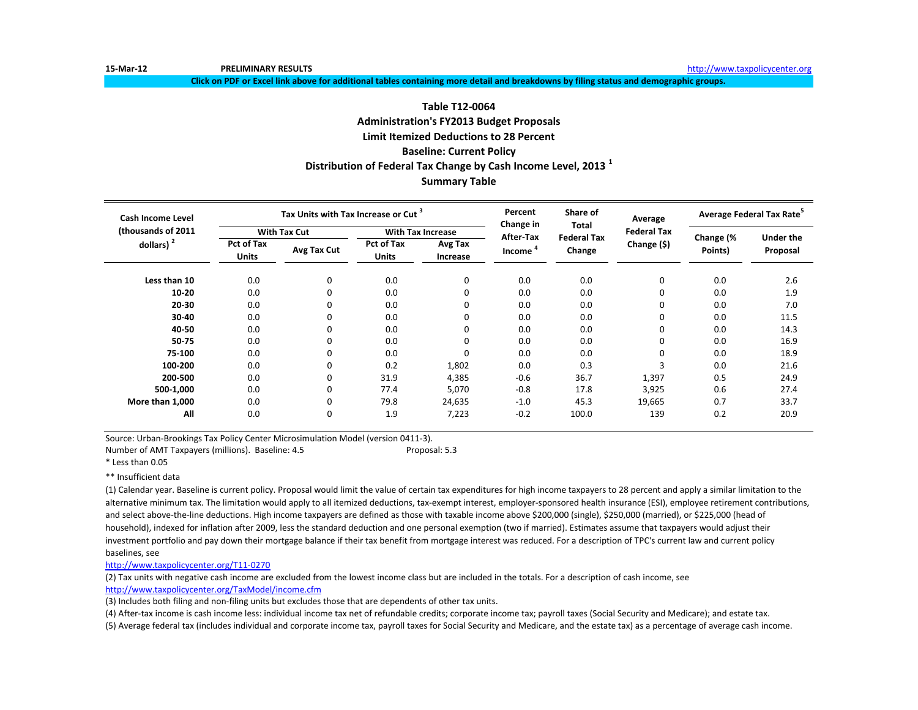**15-Mar-12 PRELIMINARY RESULTS** [http://www.ta](http://www.taxpolicycenter.org/)xpolicycenter.org

**Click on PDF or Excel link above for additional tables containing more detail and breakdowns by filing status and demographic groups.**

# **Table T12-0064 Administration's FY2013 Budget Proposals Limit Itemized Deductions to 28 Percent Baseline: Current Policy Distribution of Federal Tax Change by Cash Income Level, 2013 <sup>1</sup> Summary Table**

| <b>Cash Income Level</b> |                                   | Tax Units with Tax Increase or Cut <sup>3</sup> |                                   |                          | Percent<br>Change in | Share of<br>Total            | Average            | Average Federal Tax Rate <sup>5</sup> |                              |
|--------------------------|-----------------------------------|-------------------------------------------------|-----------------------------------|--------------------------|----------------------|------------------------------|--------------------|---------------------------------------|------------------------------|
| (thousands of 2011)      |                                   | <b>With Tax Cut</b>                             |                                   | <b>With Tax Increase</b> |                      |                              | <b>Federal Tax</b> |                                       |                              |
| dollars) $2$             | <b>Pct of Tax</b><br><b>Units</b> | Avg Tax Cut                                     | <b>Pct of Tax</b><br><b>Units</b> | Avg Tax<br>Increase      | After-Tax<br>Income  | <b>Federal Tax</b><br>Change | Change (\$)        | Change (%<br>Points)                  | <b>Under the</b><br>Proposal |
| Less than 10             | 0.0                               | $\mathbf 0$                                     | 0.0                               | 0                        | 0.0                  | 0.0                          | 0                  | 0.0                                   | 2.6                          |
| $10 - 20$                | 0.0                               | 0                                               | 0.0                               | 0                        | 0.0                  | 0.0                          | 0                  | 0.0                                   | 1.9                          |
| $20 - 30$                | 0.0                               | 0                                               | 0.0                               | 0                        | 0.0                  | 0.0                          | 0                  | 0.0                                   | 7.0                          |
| $30 - 40$                | 0.0                               | 0                                               | 0.0                               | 0                        | 0.0                  | 0.0                          | 0                  | 0.0                                   | 11.5                         |
| 40-50                    | 0.0                               | 0                                               | 0.0                               | 0                        | 0.0                  | 0.0                          | $\Omega$           | 0.0                                   | 14.3                         |
| 50-75                    | 0.0                               | 0                                               | 0.0                               | 0                        | 0.0                  | 0.0                          | $\Omega$           | 0.0                                   | 16.9                         |
| 75-100                   | 0.0                               | 0                                               | 0.0                               | 0                        | 0.0                  | 0.0                          | $\Omega$           | 0.0                                   | 18.9                         |
| 100-200                  | 0.0                               | 0                                               | 0.2                               | 1,802                    | 0.0                  | 0.3                          | 3                  | 0.0                                   | 21.6                         |
| 200-500                  | 0.0                               | 0                                               | 31.9                              | 4,385                    | $-0.6$               | 36.7                         | 1,397              | 0.5                                   | 24.9                         |
| 500-1,000                | 0.0                               | 0                                               | 77.4                              | 5,070                    | $-0.8$               | 17.8                         | 3,925              | 0.6                                   | 27.4                         |
| More than 1,000          | 0.0                               | 0                                               | 79.8                              | 24,635                   | $-1.0$               | 45.3                         | 19,665             | 0.7                                   | 33.7                         |
| All                      | 0.0                               | 0                                               | 1.9                               | 7,223                    | $-0.2$               | 100.0                        | 139                | 0.2                                   | 20.9                         |

Source: Urban-Brookings Tax Policy Center Microsimulation Model (version 0411-3).

Number of AMT Taxpayers (millions). Baseline: 4.5 Proposal: 5.3

\* Less than 0.05

\*\* Insufficient data

(1) Calendar year. Baseline is current policy. Proposal would limit the value of certain tax expenditures for high income taxpayers to 28 percent and apply a similar limitation to the alternative minimum tax. The limitation would apply to all itemized deductions, tax-exempt interest, employer-sponsored health insurance (ESI), employee retirement contributions, and select above-the-line deductions. High income taxpayers are defined as those with taxable income above \$200,000 (single), \$250,000 (married), or \$225,000 (head of household), indexed for inflation after 2009, less the standard deduction and one personal exemption (two if married). Estimates assume that taxpayers would adjust their investment portfolio and pay down their mortgage balance if their tax benefit from mortgage interest was reduced. For a description of TPC's current law and current policy baselines, see

[http://www.taxpolicycente](http://www.taxpolicycenter.org/T11-0270)r.org/T11-0270

(2) Tax units with negative cash income are excluded from the lowest income class but are included in the totals. For a description of cash income, see [http://www.taxpolicycente](http://www.taxpolicycenter.org/TaxModel/income.cfm)r.org/TaxModel/income.cfm

(3) Includes both filing and non-filing units but excludes those that are dependents of other tax units.

(4) After-tax income is cash income less: individual income tax net of refundable credits; corporate income tax; payroll taxes (Social Security and Medicare); and estate tax. (5) Average federal tax (includes individual and corporate income tax, payroll taxes for Social Security and Medicare, and the estate tax) as a percentage of average cash income.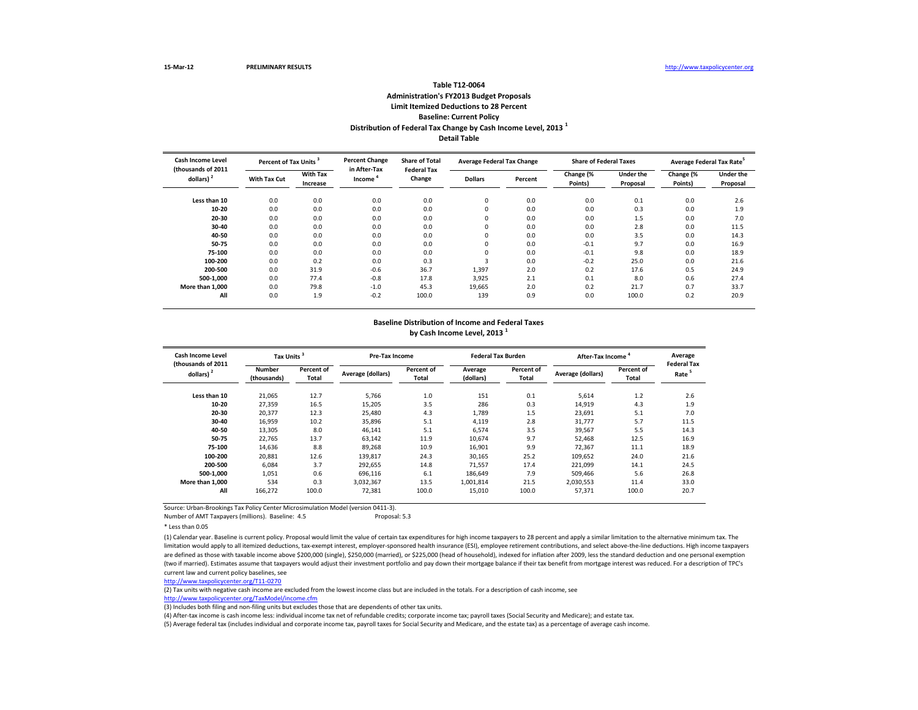Number of AMT Taxpayers (millions). Baseline: 4.5 Proposal: 5.3

\* Less than 0.05

| <b>Cash Income Level</b>           | Percent of Tax Units <sup>3</sup> |                             | <b>Percent Change</b><br>in After-Tax | <b>Share of Total</b><br><b>Federal Tax</b> | <b>Average Federal Tax Change</b> |         | <b>Share of Federal Taxes</b> |                              | Average Federal Tax Rate <sup>5</sup> |                              |
|------------------------------------|-----------------------------------|-----------------------------|---------------------------------------|---------------------------------------------|-----------------------------------|---------|-------------------------------|------------------------------|---------------------------------------|------------------------------|
| (thousands of 2011<br>dollars) $2$ | <b>With Tax Cut</b>               | <b>With Tax</b><br>Increase | Income                                | Change                                      | <b>Dollars</b>                    | Percent | Change (%<br>Points)          | <b>Under the</b><br>Proposal | Change (%<br>Points)                  | <b>Under the</b><br>Proposal |
| Less than 10                       | 0.0                               | 0.0                         | 0.0                                   | 0.0                                         | $\mathbf 0$                       | 0.0     | 0.0                           | 0.1                          | 0.0                                   | 2.6                          |
| $10 - 20$                          | 0.0                               | 0.0                         | 0.0                                   | 0.0                                         | 0                                 | 0.0     | 0.0                           | 0.3                          | 0.0                                   | 1.9                          |
| 20-30                              | 0.0                               | 0.0                         | 0.0                                   | 0.0                                         | 0                                 | 0.0     | 0.0                           | 1.5                          | 0.0                                   | 7.0                          |
| 30-40                              | 0.0                               | 0.0                         | 0.0                                   | 0.0                                         | $\mathbf 0$                       | 0.0     | 0.0                           | 2.8                          | 0.0                                   | 11.5                         |
| 40-50                              | 0.0                               | 0.0                         | 0.0                                   | 0.0                                         | 0                                 | 0.0     | 0.0                           | 3.5                          | 0.0                                   | 14.3                         |
| 50-75                              | 0.0                               | 0.0                         | 0.0                                   | 0.0                                         | $\mathbf 0$                       | 0.0     | $-0.1$                        | 9.7                          | 0.0                                   | 16.9                         |
| 75-100                             | 0.0                               | 0.0                         | 0.0                                   | 0.0                                         | 0                                 | 0.0     | $-0.1$                        | 9.8                          | 0.0                                   | 18.9                         |
| 100-200                            | 0.0                               | 0.2                         | 0.0                                   | 0.3                                         | 3                                 | 0.0     | $-0.2$                        | 25.0                         | 0.0                                   | 21.6                         |
| 200-500                            | 0.0                               | 31.9                        | $-0.6$                                | 36.7                                        | 1,397                             | 2.0     | 0.2                           | 17.6                         | 0.5                                   | 24.9                         |
| 500-1,000                          | 0.0                               | 77.4                        | $-0.8$                                | 17.8                                        | 3,925                             | 2.1     | 0.1                           | 8.0                          | 0.6                                   | 27.4                         |
| More than 1,000                    | 0.0                               | 79.8                        | $-1.0$                                | 45.3                                        | 19,665                            | 2.0     | 0.2                           | 21.7                         | 0.7                                   | 33.7                         |
| All                                | 0.0                               | 1.9                         | $-0.2$                                | 100.0                                       | 139                               | 0.9     | 0.0                           | 100.0                        | 0.2                                   | 20.9                         |

(1) Calendar year. Baseline is current policy. Proposal would limit the value of certain tax expenditures for high income taxpayers to 28 percent and apply a similar limitation to the alternative minimum tax. The limitation would apply to all itemized deductions, tax-exempt interest, employer-sponsored health insurance (ESI), employee retirement contributions, and select above-the-line deductions. High income taxpayers are defined as those with taxable income above \$200,000 (single), \$250,000 (married), or \$225,000 (head of household), indexed for inflation after 2009, less the standard deduction and one personal exemption (two if married). Estimates assume that taxpayers would adjust their investment portfolio and pay down their mortgage balance if their tax benefit from mortgage interest was reduced. For a description of TPC's current law and current policy baselines, see

| <b>Cash Income Level</b><br>(thousands of 2011) | Tax Units <sup>3</sup>       |                                   | <b>Pre-Tax Income</b> |                            | <b>Federal Tax Burden</b> |                            | After-Tax Income         |                                   | Average<br><b>Federal Tax</b> |
|-------------------------------------------------|------------------------------|-----------------------------------|-----------------------|----------------------------|---------------------------|----------------------------|--------------------------|-----------------------------------|-------------------------------|
| dollars) $2$                                    | <b>Number</b><br>(thousands) | <b>Percent of</b><br><b>Total</b> | Average (dollars)     | Percent of<br><b>Total</b> | Average<br>(dollars)      | Percent of<br><b>Total</b> | <b>Average (dollars)</b> | <b>Percent of</b><br><b>Total</b> | Rate                          |
| Less than 10                                    | 21,065                       | 12.7                              | 5,766                 | 1.0                        | 151                       | 0.1                        | 5,614                    | 1.2                               | 2.6                           |
| $10 - 20$                                       | 27,359                       | 16.5                              | 15,205                | 3.5                        | 286                       | 0.3                        | 14,919                   | 4.3                               | 1.9                           |
| $20 - 30$                                       | 20,377                       | 12.3                              | 25,480                | 4.3                        | 1,789                     | 1.5                        | 23,691                   | 5.1                               | 7.0                           |
| 30-40                                           | 16,959                       | 10.2                              | 35,896                | 5.1                        | 4,119                     | 2.8                        | 31,777                   | 5.7                               | 11.5                          |
| 40-50                                           | 13,305                       | 8.0                               | 46,141                | 5.1                        | 6,574                     | 3.5                        | 39,567                   | 5.5                               | 14.3                          |
| 50-75                                           | 22,765                       | 13.7                              | 63,142                | 11.9                       | 10,674                    | 9.7                        | 52,468                   | 12.5                              | 16.9                          |
| 75-100                                          | 14,636                       | 8.8                               | 89,268                | 10.9                       | 16,901                    | 9.9                        | 72,367                   | 11.1                              | 18.9                          |
| 100-200                                         | 20,881                       | 12.6                              | 139,817               | 24.3                       | 30,165                    | 25.2                       | 109,652                  | 24.0                              | 21.6                          |
| 200-500                                         | 6,084                        | 3.7                               | 292,655               | 14.8                       | 71,557                    | 17.4                       | 221,099                  | 14.1                              | 24.5                          |
| 500-1,000                                       | 1,051                        | 0.6                               | 696,116               | 6.1                        | 186,649                   | 7.9                        | 509,466                  | 5.6                               | 26.8                          |
| More than 1,000                                 | 534                          | 0.3                               | 3,032,367             | 13.5                       | 1,001,814                 | 21.5                       | 2,030,553                | 11.4                              | 33.0                          |
| All                                             | 166,272                      | 100.0                             | 72,381                | 100.0                      | 15,010                    | 100.0                      | 57,371                   | 100.0                             | 20.7                          |

## **Detail Table Table T12-0064 Administration's FY2013 Budget Proposals Limit Itemized Deductions to 28 Percent Baseline: Current Policy Distribution of Federal Tax Change by Cash Income Level, 2013 <sup>1</sup>**

## **Baseline Distribution of Income and Federal Taxes by Cash Income Level, 2013 <sup>1</sup>**

[http://www.taxpolicycente](http://www.taxpolicycenter.org/T11-0270)r.org/T11-0270

(2) Tax units with negative cash income are excluded from the lowest income class but are included in the totals. For a description of cash income, see [http://www.taxpolicycente](http://www.taxpolicycenter.org/TaxModel/income.cfm)r.org/TaxModel/income.cfm

(3) Includes both filing and non-filing units but excludes those that are dependents of other tax units.

(4) After-tax income is cash income less: individual income tax net of refundable credits; corporate income tax; payroll taxes (Social Security and Medicare); and estate tax.

(5) Average federal tax (includes individual and corporate income tax, payroll taxes for Social Security and Medicare, and the estate tax) as a percentage of average cash income.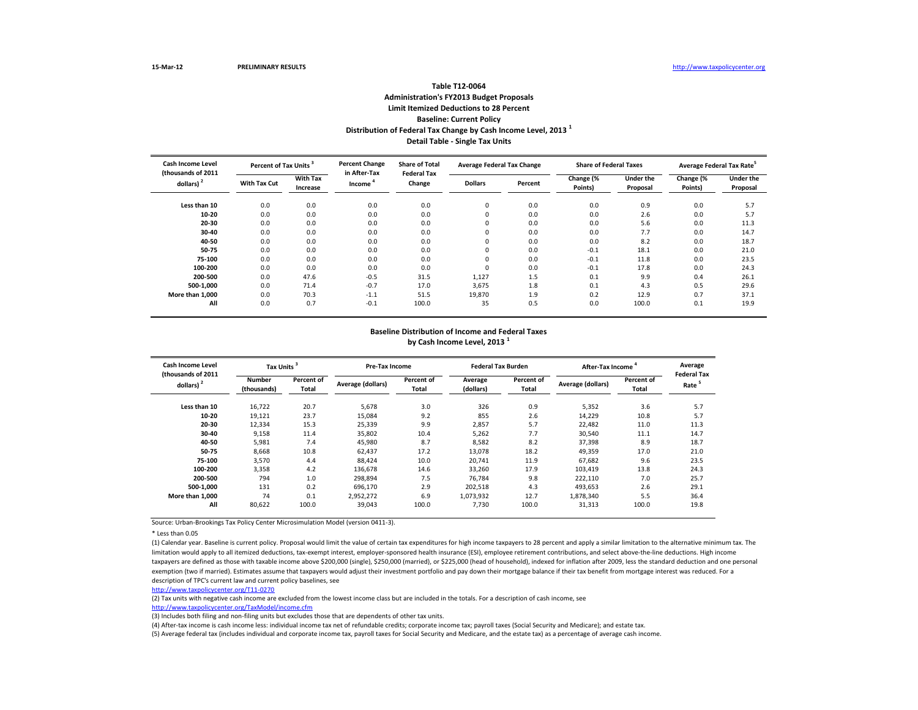\* Less than 0.05

| <b>Cash Income Level</b><br>(thousands of 2011) | Percent of Tax Units <sup>3</sup> |                             | <b>Percent Change</b><br>in After-Tax | <b>Share of Total</b><br><b>Federal Tax</b> | <b>Average Federal Tax Change</b> |         | <b>Share of Federal Taxes</b> |                              | Average Federal Tax Rate <sup>5</sup> |                              |
|-------------------------------------------------|-----------------------------------|-----------------------------|---------------------------------------|---------------------------------------------|-----------------------------------|---------|-------------------------------|------------------------------|---------------------------------------|------------------------------|
| dollars) $2$                                    | <b>With Tax Cut</b>               | <b>With Tax</b><br>Increase | Income <sup>4</sup>                   | Change                                      | <b>Dollars</b>                    | Percent | Change (%<br>Points)          | <b>Under the</b><br>Proposal | Change (%<br>Points)                  | <b>Under the</b><br>Proposal |
| Less than 10                                    | 0.0                               | 0.0                         | 0.0                                   | 0.0                                         | 0                                 | 0.0     | 0.0                           | 0.9                          | 0.0                                   | 5.7                          |
| $10 - 20$                                       | 0.0                               | 0.0                         | 0.0                                   | 0.0                                         | $\Omega$                          | 0.0     | 0.0                           | 2.6                          | 0.0                                   | 5.7                          |
| 20-30                                           | 0.0                               | 0.0                         | 0.0                                   | 0.0                                         |                                   | 0.0     | 0.0                           | 5.6                          | 0.0                                   | 11.3                         |
| 30-40                                           | 0.0                               | 0.0                         | 0.0                                   | 0.0                                         | 0                                 | 0.0     | 0.0                           | 7.7                          | 0.0                                   | 14.7                         |
| 40-50                                           | 0.0                               | 0.0                         | 0.0                                   | 0.0                                         | 0                                 | 0.0     | 0.0                           | 8.2                          | 0.0                                   | 18.7                         |
| 50-75                                           | 0.0                               | 0.0                         | 0.0                                   | 0.0                                         | $\Omega$                          | 0.0     | $-0.1$                        | 18.1                         | 0.0                                   | 21.0                         |
| 75-100                                          | 0.0                               | 0.0                         | 0.0                                   | 0.0                                         | $\Omega$                          | 0.0     | $-0.1$                        | 11.8                         | 0.0                                   | 23.5                         |
| 100-200                                         | 0.0                               | 0.0                         | 0.0                                   | 0.0                                         | $\Omega$                          | 0.0     | $-0.1$                        | 17.8                         | 0.0                                   | 24.3                         |
| 200-500                                         | 0.0                               | 47.6                        | $-0.5$                                | 31.5                                        | 1,127                             | 1.5     | 0.1                           | 9.9                          | 0.4                                   | 26.1                         |
| 500-1,000                                       | 0.0                               | 71.4                        | $-0.7$                                | 17.0                                        | 3,675                             | 1.8     | 0.1                           | 4.3                          | 0.5                                   | 29.6                         |
| More than 1,000                                 | 0.0                               | 70.3                        | $-1.1$                                | 51.5                                        | 19,870                            | 1.9     | 0.2                           | 12.9                         | 0.7                                   | 37.1                         |
| All                                             | 0.0                               | 0.7                         | $-0.1$                                | 100.0                                       | 35                                | 0.5     | 0.0                           | 100.0                        | 0.1                                   | 19.9                         |

(1) Calendar year. Baseline is current policy. Proposal would limit the value of certain tax expenditures for high income taxpayers to 28 percent and apply a similar limitation to the alternative minimum tax. The limitation would apply to all itemized deductions, tax-exempt interest, employer-sponsored health insurance (ESI), employee retirement contributions, and select above-the-line deductions. High income taxpayers are defined as those with taxable income above \$200,000 (single), \$250,000 (married), or \$225,000 (head of household), indexed for inflation after 2009, less the standard deduction and one personal exemption (two if married). Estimates assume that taxpayers would adjust their investment portfolio and pay down their mortgage balance if their tax benefit from mortgage interest was reduced. For a description of TPC's current law and current policy baselines, see

| <b>Cash Income Level</b><br>(thousands of 2011) |                              | Tax Units <sup>3</sup>     |                   | <b>Pre-Tax Income</b>             |                      | <b>Federal Tax Burden</b>  | After-Tax Income <sup>4</sup> | Average<br><b>Federal Tax</b> |      |
|-------------------------------------------------|------------------------------|----------------------------|-------------------|-----------------------------------|----------------------|----------------------------|-------------------------------|-------------------------------|------|
| dollars) $2$                                    | <b>Number</b><br>(thousands) | Percent of<br><b>Total</b> | Average (dollars) | <b>Percent of</b><br><b>Total</b> | Average<br>(dollars) | Percent of<br><b>Total</b> | Average (dollars)             | Percent of<br>Total           | Rate |
| Less than 10                                    | 16,722                       | 20.7                       | 5,678             | 3.0                               | 326                  | 0.9                        | 5,352                         | 3.6                           | 5.7  |
| $10 - 20$                                       | 19,121                       | 23.7                       | 15,084            | 9.2                               | 855                  | 2.6                        | 14,229                        | 10.8                          | 5.7  |
| $20 - 30$                                       | 12,334                       | 15.3                       | 25,339            | 9.9                               | 2,857                | 5.7                        | 22,482                        | 11.0                          | 11.3 |
| $30 - 40$                                       | 9,158                        | 11.4                       | 35,802            | 10.4                              | 5,262                | 7.7                        | 30,540                        | 11.1                          | 14.7 |
| 40-50                                           | 5,981                        | 7.4                        | 45,980            | 8.7                               | 8,582                | 8.2                        | 37,398                        | 8.9                           | 18.7 |
| 50-75                                           | 8,668                        | 10.8                       | 62,437            | 17.2                              | 13,078               | 18.2                       | 49,359                        | 17.0                          | 21.0 |
| 75-100                                          | 3,570                        | 4.4                        | 88,424            | 10.0                              | 20,741               | 11.9                       | 67,682                        | 9.6                           | 23.5 |
| 100-200                                         | 3,358                        | 4.2                        | 136,678           | 14.6                              | 33,260               | 17.9                       | 103,419                       | 13.8                          | 24.3 |
| 200-500                                         | 794                          | 1.0                        | 298,894           | 7.5                               | 76,784               | 9.8                        | 222,110                       | 7.0                           | 25.7 |
| 500-1,000                                       | 131                          | 0.2                        | 696,170           | 2.9                               | 202,518              | 4.3                        | 493,653                       | 2.6                           | 29.1 |
| More than 1,000                                 | 74                           | 0.1                        | 2,952,272         | 6.9                               | 1,073,932            | 12.7                       | 1,878,340                     | 5.5                           | 36.4 |
| All                                             | 80,622                       | 100.0                      | 39,043            | 100.0                             | 7,730                | 100.0                      | 31,313                        | 100.0                         | 19.8 |

# **Detail Table - Single Tax Units Table T12-0064 Administration's FY2013 Budget Proposals Limit Itemized Deductions to 28 Percent Baseline: Current Policy Distribution of Federal Tax Change by Cash Income Level, 2013 <sup>1</sup>**

## **Baseline Distribution of Income and Federal Taxes by Cash Income Level, 2013 <sup>1</sup>**

### [http://www.taxpolicycente](http://www.taxpolicycenter.org/T11-0270)r.org/T11-0270

(2) Tax units with negative cash income are excluded from the lowest income class but are included in the totals. For a description of cash income, see [http://www.taxpolicycente](http://www.taxpolicycenter.org/TaxModel/income.cfm)r.org/TaxModel/income.cfm

(5) Average federal tax (includes individual and corporate income tax, payroll taxes for Social Security and Medicare, and the estate tax) as a percentage of average cash income. (4) After-tax income is cash income less: individual income tax net of refundable credits; corporate income tax; payroll taxes (Social Security and Medicare); and estate tax.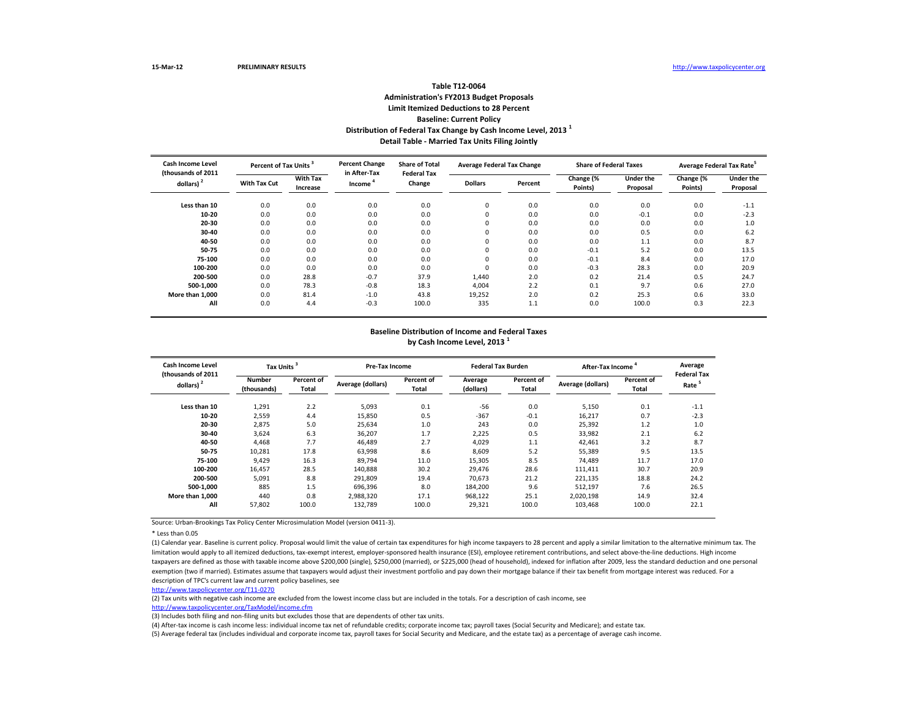\* Less than 0.05

| <b>Cash Income Level</b><br>(thousands of 2011 | Percent of Tax Units <sup>3</sup> |                             | <b>Percent Change</b><br>in After-Tax | <b>Share of Total</b><br><b>Federal Tax</b> | <b>Average Federal Tax Change</b> |         | <b>Share of Federal Taxes</b> |                              | Average Federal Tax Rate <sup>5</sup> |                              |
|------------------------------------------------|-----------------------------------|-----------------------------|---------------------------------------|---------------------------------------------|-----------------------------------|---------|-------------------------------|------------------------------|---------------------------------------|------------------------------|
| dollars) $2$                                   | <b>With Tax Cut</b>               | <b>With Tax</b><br>Increase | Income <sup>4</sup>                   | Change                                      |                                   | Percent | Change (%<br>Points)          | <b>Under the</b><br>Proposal | Change (%<br>Points)                  | <b>Under the</b><br>Proposal |
| Less than 10                                   | 0.0                               | 0.0                         | 0.0                                   | 0.0                                         | 0                                 | 0.0     | 0.0                           | 0.0                          | 0.0                                   | $-1.1$                       |
| $10 - 20$                                      | 0.0                               | 0.0                         | 0.0                                   | 0.0                                         | $\mathbf{0}$                      | 0.0     | 0.0                           | $-0.1$                       | 0.0                                   | $-2.3$                       |
| 20-30                                          | 0.0                               | 0.0                         | 0.0                                   | 0.0                                         | 0                                 | 0.0     | 0.0                           | 0.0                          | 0.0                                   | 1.0                          |
| $30 - 40$                                      | 0.0                               | 0.0                         | 0.0                                   | 0.0                                         | $\mathbf{0}$                      | 0.0     | 0.0                           | 0.5                          | 0.0                                   | 6.2                          |
| 40-50                                          | 0.0                               | 0.0                         | 0.0                                   | 0.0                                         | $\mathbf{0}$                      | 0.0     | 0.0                           | 1.1                          | 0.0                                   | 8.7                          |
| 50-75                                          | 0.0                               | 0.0                         | 0.0                                   | 0.0                                         | $\mathbf{0}$                      | 0.0     | $-0.1$                        | 5.2                          | 0.0                                   | 13.5                         |
| 75-100                                         | 0.0                               | 0.0                         | 0.0                                   | 0.0                                         | $\mathbf{0}$                      | 0.0     | $-0.1$                        | 8.4                          | 0.0                                   | 17.0                         |
| 100-200                                        | 0.0                               | 0.0                         | 0.0                                   | 0.0                                         | $\Omega$                          | 0.0     | $-0.3$                        | 28.3                         | 0.0                                   | 20.9                         |
| 200-500                                        | 0.0                               | 28.8                        | $-0.7$                                | 37.9                                        | 1,440                             | 2.0     | 0.2                           | 21.4                         | 0.5                                   | 24.7                         |
| 500-1,000                                      | 0.0                               | 78.3                        | $-0.8$                                | 18.3                                        | 4,004                             | 2.2     | 0.1                           | 9.7                          | 0.6                                   | 27.0                         |
| More than 1,000                                | 0.0                               | 81.4                        | $-1.0$                                | 43.8                                        | 19,252                            | 2.0     | 0.2                           | 25.3                         | 0.6                                   | 33.0                         |
| All                                            | 0.0                               | 4.4                         | $-0.3$                                | 100.0                                       | 335                               | 1.1     | 0.0                           | 100.0                        | 0.3                                   | 22.3                         |

(1) Calendar year. Baseline is current policy. Proposal would limit the value of certain tax expenditures for high income taxpayers to 28 percent and apply a similar limitation to the alternative minimum tax. The limitation would apply to all itemized deductions, tax-exempt interest, employer-sponsored health insurance (ESI), employee retirement contributions, and select above-the-line deductions. High income taxpayers are defined as those with taxable income above \$200,000 (single), \$250,000 (married), or \$225,000 (head of household), indexed for inflation after 2009, less the standard deduction and one personal exemption (two if married). Estimates assume that taxpayers would adjust their investment portfolio and pay down their mortgage balance if their tax benefit from mortgage interest was reduced. For a description of TPC's current law and current policy baselines, see

| <b>Cash Income Level</b><br>(thousands of 2011) | Tax Units <sup>3</sup> |                            | Pre-Tax Income    |                     | <b>Federal Tax Burden</b> |                            | After-Tax Income                         | Average<br><b>Federal Tax</b> |        |
|-------------------------------------------------|------------------------|----------------------------|-------------------|---------------------|---------------------------|----------------------------|------------------------------------------|-------------------------------|--------|
| dollars) <sup>2</sup>                           | Number<br>(thousands)  | Percent of<br><b>Total</b> | Average (dollars) | Percent of<br>Total | Average<br>(dollars)      | Percent of<br><b>Total</b> | Percent of<br>Average (dollars)<br>Total |                               | Rate   |
| Less than 10                                    | 1,291                  | 2.2                        | 5,093             | 0.1                 | $-56$                     | 0.0                        | 5,150                                    | 0.1                           | $-1.1$ |
| 10-20                                           | 2,559                  | 4.4                        | 15,850            | 0.5                 | $-367$                    | $-0.1$                     | 16,217                                   | 0.7                           | $-2.3$ |
| $20 - 30$                                       | 2,875                  | 5.0                        | 25,634            | 1.0                 | 243                       | 0.0                        | 25,392                                   | 1.2                           | 1.0    |
| 30-40                                           | 3,624                  | 6.3                        | 36,207            | 1.7                 | 2,225                     | 0.5                        | 33,982                                   | 2.1                           | 6.2    |
| 40-50                                           | 4,468                  | 7.7                        | 46,489            | 2.7                 | 4,029                     | 1.1                        | 42,461                                   | 3.2                           | 8.7    |
| 50-75                                           | 10,281                 | 17.8                       | 63,998            | 8.6                 | 8,609                     | 5.2                        | 55,389                                   | 9.5                           | 13.5   |
| 75-100                                          | 9,429                  | 16.3                       | 89,794            | 11.0                | 15,305                    | 8.5                        | 74,489                                   | 11.7                          | 17.0   |
| 100-200                                         | 16,457                 | 28.5                       | 140,888           | 30.2                | 29,476                    | 28.6                       | 111,411                                  | 30.7                          | 20.9   |
| 200-500                                         | 5,091                  | 8.8                        | 291,809           | 19.4                | 70,673                    | 21.2                       | 221,135                                  | 18.8                          | 24.2   |
| 500-1,000                                       | 885                    | 1.5                        | 696,396           | 8.0                 | 184,200                   | 9.6                        | 512,197                                  | 7.6                           | 26.5   |
| More than 1,000                                 | 440                    | 0.8                        | 2,988,320         | 17.1                | 968,122                   | 25.1                       | 2,020,198                                | 14.9                          | 32.4   |
| All                                             | 57,802                 | 100.0                      | 132,789           | 100.0               | 29,321                    | 100.0                      | 103,468                                  | 100.0                         | 22.1   |

# **Detail Table - Married Tax Units Filing Jointly Table T12-0064 Administration's FY2013 Budget Proposals Limit Itemized Deductions to 28 Percent Baseline: Current Policy Distribution of Federal Tax Change by Cash Income Level, 2013 <sup>1</sup>**

## **Baseline Distribution of Income and Federal Taxes by Cash Income Level, 2013 <sup>1</sup>**

### [http://www.taxpolicycente](http://www.taxpolicycenter.org/T11-0270)r.org/T11-0270

(2) Tax units with negative cash income are excluded from the lowest income class but are included in the totals. For a description of cash income, see [http://www.taxpolicycente](http://www.taxpolicycenter.org/TaxModel/income.cfm)r.org/TaxModel/income.cfm

(5) Average federal tax (includes individual and corporate income tax, payroll taxes for Social Security and Medicare, and the estate tax) as a percentage of average cash income. (4) After-tax income is cash income less: individual income tax net of refundable credits; corporate income tax; payroll taxes (Social Security and Medicare); and estate tax.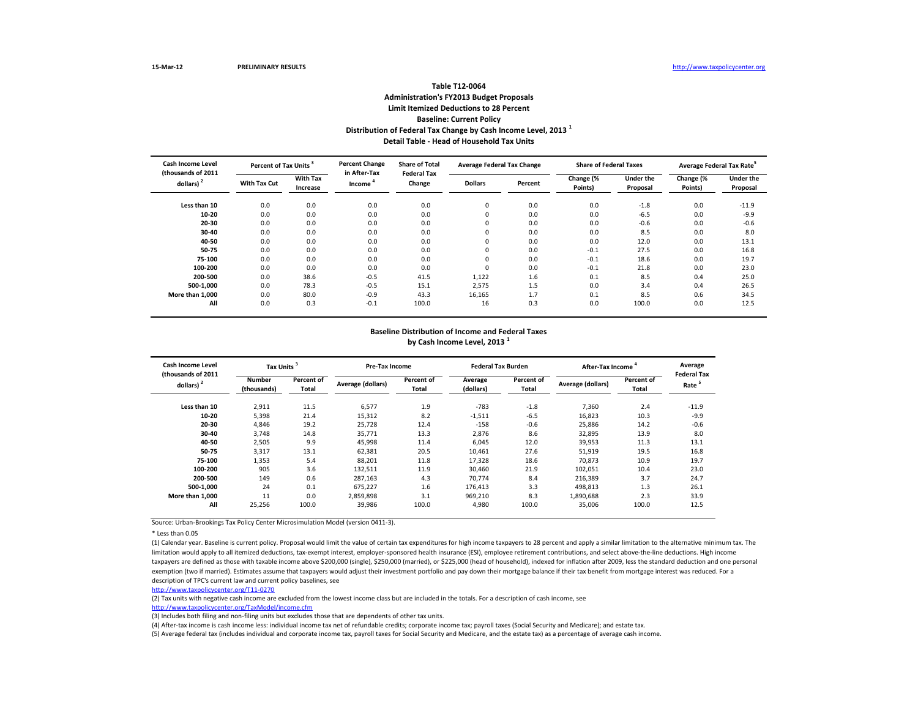\* Less than 0.05

| <b>Cash Income Level</b><br>(thousands of 2011 | Percent of Tax Units <sup>3</sup> |                             | <b>Percent Change</b><br>in After-Tax | <b>Share of Total</b><br><b>Federal Tax</b> | <b>Average Federal Tax Change</b> |         | <b>Share of Federal Taxes</b> |                              | Average Federal Tax Rate <sup>5</sup> |                              |
|------------------------------------------------|-----------------------------------|-----------------------------|---------------------------------------|---------------------------------------------|-----------------------------------|---------|-------------------------------|------------------------------|---------------------------------------|------------------------------|
| dollars) $2$                                   | <b>With Tax Cut</b>               | <b>With Tax</b><br>Increase | Income <sup>4</sup>                   | Change                                      | <b>Dollars</b>                    | Percent | Change $\sqrt{8}$<br>Points)  | <b>Under the</b><br>Proposal | Change (%<br>Points)                  | <b>Under the</b><br>Proposal |
| Less than 10                                   | 0.0                               | 0.0                         | 0.0                                   | 0.0                                         | 0                                 | 0.0     | 0.0                           | $-1.8$                       | 0.0                                   | $-11.9$                      |
| 10-20                                          | 0.0                               | 0.0                         | 0.0                                   | 0.0                                         | $\Omega$                          | 0.0     | 0.0                           | $-6.5$                       | 0.0                                   | $-9.9$                       |
| 20-30                                          | 0.0                               | 0.0                         | 0.0                                   | 0.0                                         |                                   | 0.0     | 0.0                           | $-0.6$                       | 0.0                                   | $-0.6$                       |
| 30-40                                          | 0.0                               | 0.0                         | 0.0                                   | 0.0                                         |                                   | 0.0     | 0.0                           | 8.5                          | 0.0                                   | 8.0                          |
| 40-50                                          | 0.0                               | 0.0                         | 0.0                                   | 0.0                                         | $\Omega$                          | 0.0     | 0.0                           | 12.0                         | 0.0                                   | 13.1                         |
| 50-75                                          | 0.0                               | 0.0                         | 0.0                                   | 0.0                                         | $\Omega$                          | 0.0     | $-0.1$                        | 27.5                         | 0.0                                   | 16.8                         |
| 75-100                                         | 0.0                               | 0.0                         | 0.0                                   | 0.0                                         | $\Omega$                          | 0.0     | $-0.1$                        | 18.6                         | 0.0                                   | 19.7                         |
| 100-200                                        | 0.0                               | 0.0                         | 0.0                                   | 0.0                                         | $\Omega$                          | 0.0     | $-0.1$                        | 21.8                         | 0.0                                   | 23.0                         |
| 200-500                                        | 0.0                               | 38.6                        | $-0.5$                                | 41.5                                        | 1,122                             | 1.6     | 0.1                           | 8.5                          | 0.4                                   | 25.0                         |
| 500-1,000                                      | 0.0                               | 78.3                        | $-0.5$                                | 15.1                                        | 2,575                             | 1.5     | 0.0                           | 3.4                          | 0.4                                   | 26.5                         |
| More than 1,000                                | 0.0                               | 80.0                        | $-0.9$                                | 43.3                                        | 16,165                            | 1.7     | 0.1                           | 8.5                          | 0.6                                   | 34.5                         |
| All                                            | 0.0                               | 0.3                         | $-0.1$                                | 100.0                                       | 16                                | 0.3     | 0.0                           | 100.0                        | 0.0                                   | 12.5                         |

(1) Calendar year. Baseline is current policy. Proposal would limit the value of certain tax expenditures for high income taxpayers to 28 percent and apply a similar limitation to the alternative minimum tax. The limitation would apply to all itemized deductions, tax-exempt interest, employer-sponsored health insurance (ESI), employee retirement contributions, and select above-the-line deductions. High income taxpayers are defined as those with taxable income above \$200,000 (single), \$250,000 (married), or \$225,000 (head of household), indexed for inflation after 2009, less the standard deduction and one personal exemption (two if married). Estimates assume that taxpayers would adjust their investment portfolio and pay down their mortgage balance if their tax benefit from mortgage interest was reduced. For a description of TPC's current law and current policy baselines, see

| <b>Cash Income Level</b><br>(thousands of 2011) | Tax Units <sup>3</sup> |                            | Pre-Tax Income    |                     | <b>Federal Tax Burden</b> |                            | After-Tax Income <sup>4</sup> | Average<br><b>Federal Tax</b> |         |
|-------------------------------------------------|------------------------|----------------------------|-------------------|---------------------|---------------------------|----------------------------|-------------------------------|-------------------------------|---------|
| dollars) $2$                                    | Number<br>(thousands)  | Percent of<br><b>Total</b> | Average (dollars) | Percent of<br>Total | Average<br>(dollars)      | Percent of<br><b>Total</b> | Average (dollars)             | Percent of<br>Total           | Rate    |
| Less than 10                                    | 2,911                  | 11.5                       | 6,577             | 1.9                 | $-783$                    | $-1.8$                     | 7,360                         | 2.4                           | $-11.9$ |
| $10 - 20$                                       | 5,398                  | 21.4                       | 15,312            | 8.2                 | $-1,511$                  | $-6.5$                     | 16,823                        | 10.3                          | $-9.9$  |
| $20 - 30$                                       | 4,846                  | 19.2                       | 25,728            | 12.4                | $-158$                    | $-0.6$                     | 25,886                        | 14.2                          | $-0.6$  |
| $30 - 40$                                       | 3,748                  | 14.8                       | 35,771            | 13.3                | 2,876                     | 8.6                        | 32,895                        | 13.9                          | 8.0     |
| 40-50                                           | 2,505                  | 9.9                        | 45,998            | 11.4                | 6,045                     | 12.0                       | 39,953                        | 11.3                          | 13.1    |
| 50-75                                           | 3,317                  | 13.1                       | 62,381            | 20.5                | 10,461                    | 27.6                       | 51,919                        | 19.5                          | 16.8    |
| 75-100                                          | 1,353                  | 5.4                        | 88,201            | 11.8                | 17,328                    | 18.6                       | 70,873                        | 10.9                          | 19.7    |
| 100-200                                         | 905                    | 3.6                        | 132,511           | 11.9                | 30,460                    | 21.9                       | 102,051                       | 10.4                          | 23.0    |
| 200-500                                         | 149                    | 0.6                        | 287,163           | 4.3                 | 70,774                    | 8.4                        | 216,389                       | 3.7                           | 24.7    |
| 500-1,000                                       | 24                     | 0.1                        | 675,227           | 1.6                 | 176,413                   | 3.3                        | 498,813                       | 1.3                           | 26.1    |
| More than 1,000                                 | 11                     | 0.0                        | 2,859,898         | 3.1                 | 969,210                   | 8.3                        | 1,890,688                     | 2.3                           | 33.9    |
| All                                             | 25,256                 | 100.0                      | 39,986            | 100.0               | 4,980                     | 100.0                      | 35,006                        | 100.0                         | 12.5    |

# **Detail Table - Head of Household Tax Units Table T12-0064 Administration's FY2013 Budget Proposals Limit Itemized Deductions to 28 Percent Baseline: Current Policy Distribution of Federal Tax Change by Cash Income Level, 2013 <sup>1</sup>**

## **Baseline Distribution of Income and Federal Taxes by Cash Income Level, 2013 <sup>1</sup>**

### [http://www.taxpolicycente](http://www.taxpolicycenter.org/T11-0270)r.org/T11-0270

(2) Tax units with negative cash income are excluded from the lowest income class but are included in the totals. For a description of cash income, see [http://www.taxpolicycente](http://www.taxpolicycenter.org/TaxModel/income.cfm)r.org/TaxModel/income.cfm

(5) Average federal tax (includes individual and corporate income tax, payroll taxes for Social Security and Medicare, and the estate tax) as a percentage of average cash income. (4) After-tax income is cash income less: individual income tax net of refundable credits; corporate income tax; payroll taxes (Social Security and Medicare); and estate tax.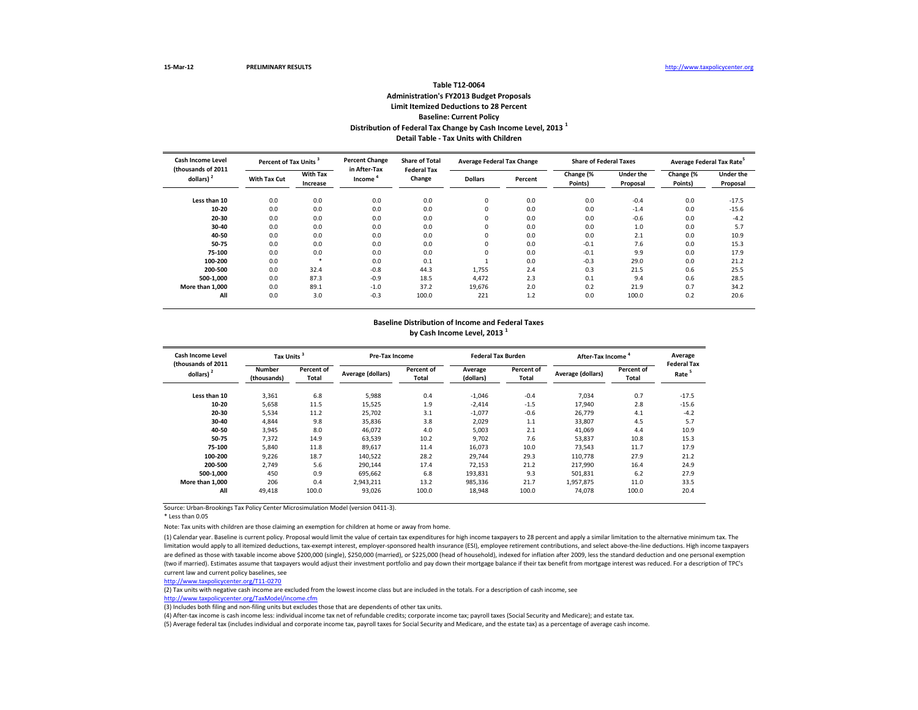\* Less than 0.05

Note: Tax units with children are those claiming an exemption for children at home or away from home.

| <b>Cash Income Level</b>           | Percent of Tax Units |                             | <b>Percent Change</b><br>in After-Tax | <b>Share of Total</b><br><b>Federal Tax</b> | <b>Average Federal Tax Change</b> |         | <b>Share of Federal Taxes</b> |                              | Average Federal Tax Rate <sup>5</sup> |                              |
|------------------------------------|----------------------|-----------------------------|---------------------------------------|---------------------------------------------|-----------------------------------|---------|-------------------------------|------------------------------|---------------------------------------|------------------------------|
| (thousands of 2011<br>dollars) $2$ | <b>With Tax Cut</b>  | <b>With Tax</b><br>Increase | Income <sup>1</sup>                   | Change                                      | <b>Dollars</b>                    | Percent | Change (%<br>Points)          | <b>Under the</b><br>Proposal | Change (%<br>Points)                  | <b>Under the</b><br>Proposal |
| Less than 10                       | 0.0                  | 0.0                         | 0.0                                   | 0.0                                         | $\mathbf 0$                       | 0.0     | 0.0                           | $-0.4$                       | 0.0                                   | $-17.5$                      |
| 10-20                              | 0.0                  | 0.0                         | 0.0                                   | 0.0                                         | 0                                 | 0.0     | 0.0                           | $-1.4$                       | 0.0                                   | $-15.6$                      |
| 20-30                              | 0.0                  | 0.0                         | 0.0                                   | 0.0                                         | 0                                 | 0.0     | 0.0                           | $-0.6$                       | 0.0                                   | $-4.2$                       |
| 30-40                              | 0.0                  | 0.0                         | 0.0                                   | 0.0                                         | 0                                 | 0.0     | 0.0                           | 1.0                          | 0.0                                   | 5.7                          |
| 40-50                              | 0.0                  | 0.0                         | 0.0                                   | 0.0                                         | 0                                 | 0.0     | 0.0                           | 2.1                          | 0.0                                   | 10.9                         |
| 50-75                              | 0.0                  | 0.0                         | 0.0                                   | 0.0                                         | 0                                 | 0.0     | $-0.1$                        | 7.6                          | 0.0                                   | 15.3                         |
| 75-100                             | 0.0                  | 0.0                         | 0.0                                   | 0.0                                         | $\Omega$                          | 0.0     | $-0.1$                        | 9.9                          | 0.0                                   | 17.9                         |
| 100-200                            | 0.0                  | *                           | 0.0                                   | 0.1                                         |                                   | 0.0     | $-0.3$                        | 29.0                         | 0.0                                   | 21.2                         |
| 200-500                            | 0.0                  | 32.4                        | $-0.8$                                | 44.3                                        | 1,755                             | 2.4     | 0.3                           | 21.5                         | 0.6                                   | 25.5                         |
| 500-1,000                          | 0.0                  | 87.3                        | $-0.9$                                | 18.5                                        | 4,472                             | 2.3     | 0.1                           | 9.4                          | 0.6                                   | 28.5                         |
| More than 1,000                    | 0.0                  | 89.1                        | $-1.0$                                | 37.2                                        | 19,676                            | 2.0     | 0.2                           | 21.9                         | 0.7                                   | 34.2                         |
| All                                | 0.0                  | 3.0                         | $-0.3$                                | 100.0                                       | 221                               | 1.2     | 0.0                           | 100.0                        | 0.2                                   | 20.6                         |

(1) Calendar year. Baseline is current policy. Proposal would limit the value of certain tax expenditures for high income taxpayers to 28 percent and apply a similar limitation to the alternative minimum tax. The limitation would apply to all itemized deductions, tax-exempt interest, employer-sponsored health insurance (ESI), employee retirement contributions, and select above-the-line deductions. High income taxpayers are defined as those with taxable income above \$200,000 (single), \$250,000 (married), or \$225,000 (head of household), indexed for inflation after 2009, less the standard deduction and one personal exemption (two if married). Estimates assume that taxpayers would adjust their investment portfolio and pay down their mortgage balance if their tax benefit from mortgage interest was reduced. For a description of TPC's current law and current policy baselines, see

| <b>Cash Income Level</b><br>(thousands of 2011) | Tax Units <sup>3</sup>       |                     | <b>Pre-Tax Income</b>    |                                   | <b>Federal Tax Burden</b> |                                   | After-Tax Income <sup>4</sup> |                                   | Average<br><b>Federal Tax</b> |
|-------------------------------------------------|------------------------------|---------------------|--------------------------|-----------------------------------|---------------------------|-----------------------------------|-------------------------------|-----------------------------------|-------------------------------|
| dollars) $2$                                    | <b>Number</b><br>(thousands) | Percent of<br>Total | <b>Average (dollars)</b> | <b>Percent of</b><br><b>Total</b> | Average<br>(dollars)      | <b>Percent of</b><br><b>Total</b> | <b>Average (dollars)</b>      | <b>Percent of</b><br><b>Total</b> | Rate                          |
| Less than 10                                    | 3,361                        | 6.8                 | 5,988                    | 0.4                               | $-1,046$                  | $-0.4$                            | 7,034                         | 0.7                               | $-17.5$                       |
| $10 - 20$                                       | 5,658                        | 11.5                | 15,525                   | 1.9                               | $-2,414$                  | $-1.5$                            | 17,940                        | 2.8                               | $-15.6$                       |
| 20-30                                           | 5,534                        | 11.2                | 25,702                   | 3.1                               | $-1,077$                  | $-0.6$                            | 26,779                        | 4.1                               | $-4.2$                        |
| 30-40                                           | 4,844                        | 9.8                 | 35,836                   | 3.8                               | 2,029                     | 1.1                               | 33,807                        | 4.5                               | 5.7                           |
| 40-50                                           | 3,945                        | 8.0                 | 46,072                   | 4.0                               | 5,003                     | 2.1                               | 41,069                        | 4.4                               | 10.9                          |
| 50-75                                           | 7,372                        | 14.9                | 63,539                   | 10.2                              | 9,702                     | 7.6                               | 53,837                        | 10.8                              | 15.3                          |
| 75-100                                          | 5,840                        | 11.8                | 89,617                   | 11.4                              | 16,073                    | 10.0                              | 73,543                        | 11.7                              | 17.9                          |
| 100-200                                         | 9,226                        | 18.7                | 140,522                  | 28.2                              | 29,744                    | 29.3                              | 110,778                       | 27.9                              | 21.2                          |
| 200-500                                         | 2,749                        | 5.6                 | 290,144                  | 17.4                              | 72,153                    | 21.2                              | 217,990                       | 16.4                              | 24.9                          |
| 500-1,000                                       | 450                          | 0.9                 | 695,662                  | 6.8                               | 193,831                   | 9.3                               | 501,831                       | 6.2                               | 27.9                          |
| More than 1,000                                 | 206                          | 0.4                 | 2,943,211                | 13.2                              | 985,336                   | 21.7                              | 1,957,875                     | 11.0                              | 33.5                          |
| All                                             | 49,418                       | 100.0               | 93,026                   | 100.0                             | 18,948                    | 100.0                             | 74,078                        | 100.0                             | 20.4                          |

## **Detail Table - Tax Units with Children Table T12-0064 Administration's FY2013 Budget Proposals Limit Itemized Deductions to 28 Percent Baseline: Current Policy Distribution of Federal Tax Change by Cash Income Level, 2013 <sup>1</sup>**

## **Baseline Distribution of Income and Federal Taxes by Cash Income Level, 2013 <sup>1</sup>**

[http://www.taxpolicycente](http://www.taxpolicycenter.org/T11-0270)r.org/T11-0270

(2) Tax units with negative cash income are excluded from the lowest income class but are included in the totals. For a description of cash income, see [http://www.taxpolicycente](http://www.taxpolicycenter.org/TaxModel/income.cfm)r.org/TaxModel/income.cfm

(5) Average federal tax (includes individual and corporate income tax, payroll taxes for Social Security and Medicare, and the estate tax) as a percentage of average cash income. (4) After-tax income is cash income less: individual income tax net of refundable credits; corporate income tax; payroll taxes (Social Security and Medicare); and estate tax.